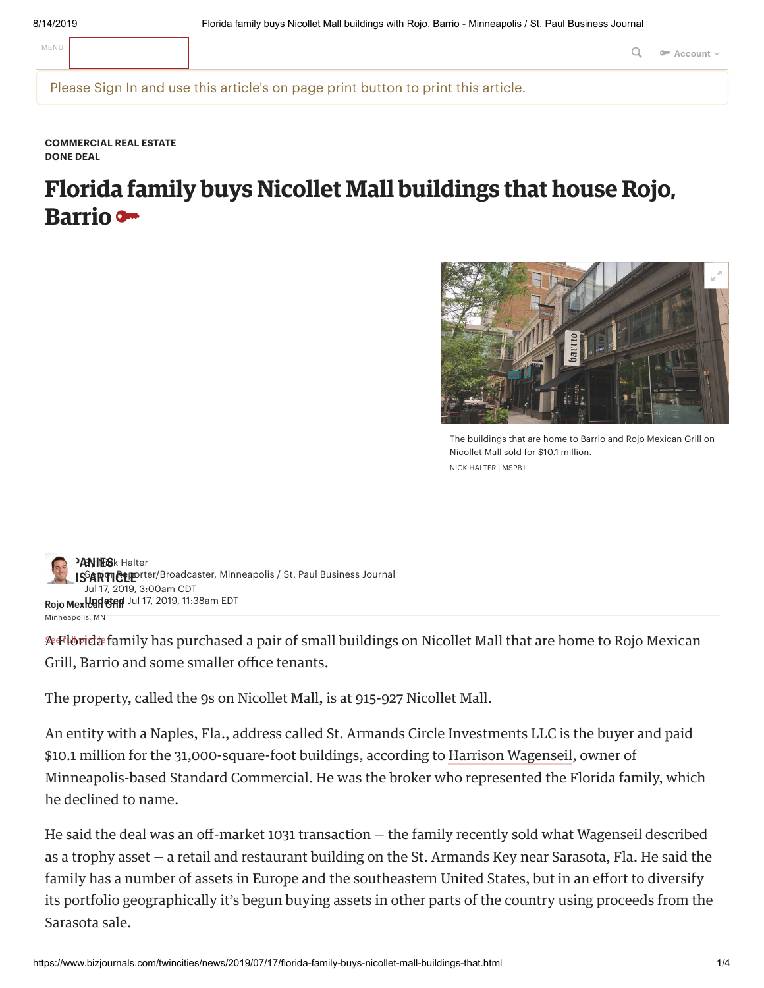MENU **Q<sub>ue</sub> a** Account  $\vee$ 

Please Sign In and use this article's on page print button to print this article.

**[COMMERCIAL](https://www.bizjournals.com/twincities/news/commercial-real-estate/) REAL ESTATE DONE DEAL**

## **Florida family buys Nicollet Mall buildings that house Rojo, Barrio**



The buildings that are home to Barrio and Rojo Mexican Grill on Nicollet Mall sold for \$10.1 million. NICK HALTER | MSPBJ

**[COMP](https://www.bizjournals.com/twincities/bio/17911/Nick+Halter)ANIES** [Halter](https://www.bizjournals.com/twincities/bio/17911/Nick+Halter) **IS<sup>S</sup>ARTICLE**T **ARTICLE ARTICLE ARTICLE ARTICLE ARTICLE ARTICLE ISSUED ASSESS Rojo Mexican Grill Updated** Jul 17, 2019, 11:38am EDT Minneapolis, MN Jul 17, 2019, 3:00am CDT

Afflorida family has purchased a pair of small buildings on Nicollet Mall that are home to Rojo Mexican Grill, Barrio and some smaller office tenants.

The property, called the 9s on Nicollet Mall, is at 915-927 Nicollet Mall.

An entity with a Naples, Fla., address called St. Armands Circle Investments LLC is the buyer and paid \$10.1 million for the 31,000-square-foot buildings, according to Harrison Wagenseil, owner of Minneapolis-based Standard Commercial. He was the broker who represented the Florida family, which he declined to name.

He said the deal was an off-market 1031 transaction  $-$  the family recently sold what Wagenseil described as a trophy asset – a retail and restaurant building on the St. Armands Key near Sarasota, Fla. He said the family has a number of assets in Europe and the southeastern United States, but in an effort to diversify its portfolio geographically it's begun buying assets in other parts of the country using proceeds from the Sarasota sale.